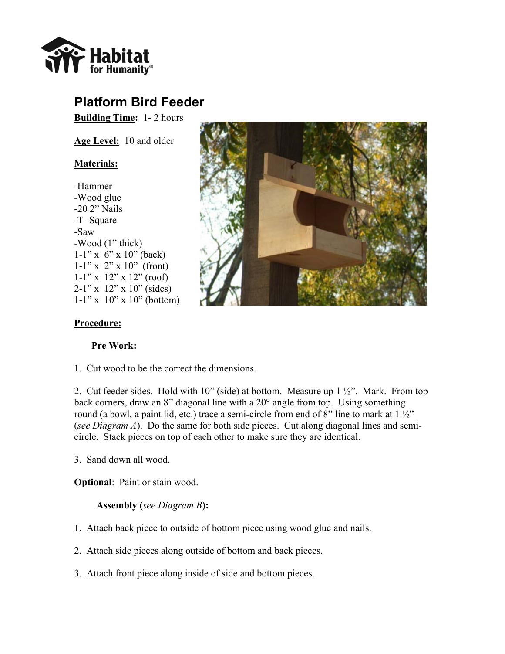

## **Platform Bird Feeder**

**Building Time:** 1- 2 hours

**Age Level:** 10 and older

## **Materials:**

-Hammer -Wood glue -20 2" Nails -T- Square -Saw -Wood (1" thick)  $1-1$ " x 6" x 10" (back) 1-1" x  $2$ " x 10" (front)  $1-1$ " x  $12$ " x  $12$ " (roof)  $2-1$ " x  $12$ " x  $10$ " (sides)  $1-1$ " x  $10$ " x  $10$ " (bottom)



## **Procedure:**

## **Pre Work:**

1. Cut wood to be the correct the dimensions.

2. Cut feeder sides. Hold with 10" (side) at bottom. Measure up  $1\frac{1}{2}$ ". Mark. From top back corners, draw an 8" diagonal line with a 20° angle from top. Using something round (a bowl, a paint lid, etc.) trace a semi-circle from end of 8" line to mark at  $1\frac{1}{2}$ " (*see Diagram A*). Do the same for both side pieces. Cut along diagonal lines and semicircle. Stack pieces on top of each other to make sure they are identical.

3. Sand down all wood.

**Optional**: Paint or stain wood.

**Assembly (***see Diagram B***):**

- 1. Attach back piece to outside of bottom piece using wood glue and nails.
- 2. Attach side pieces along outside of bottom and back pieces.
- 3. Attach front piece along inside of side and bottom pieces.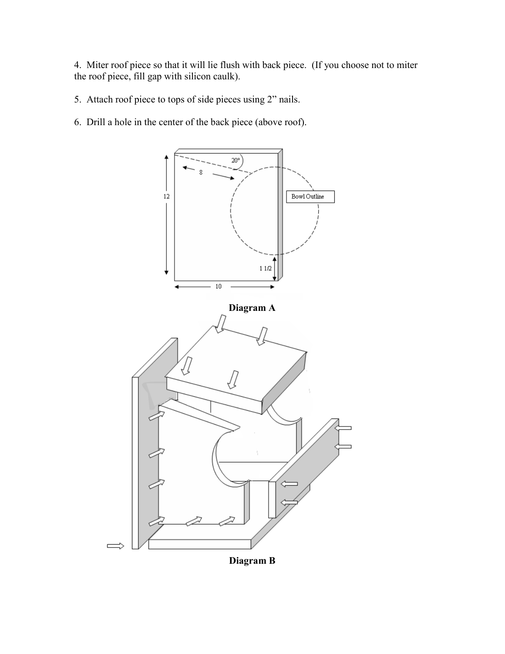4. Miter roof piece so that it will lie flush with back piece. (If you choose not to miter the roof piece, fill gap with silicon caulk).

5. Attach roof piece to tops of side pieces using 2" nails.

6. Drill a hole in the center of the back piece (above roof).



**Diagram B**